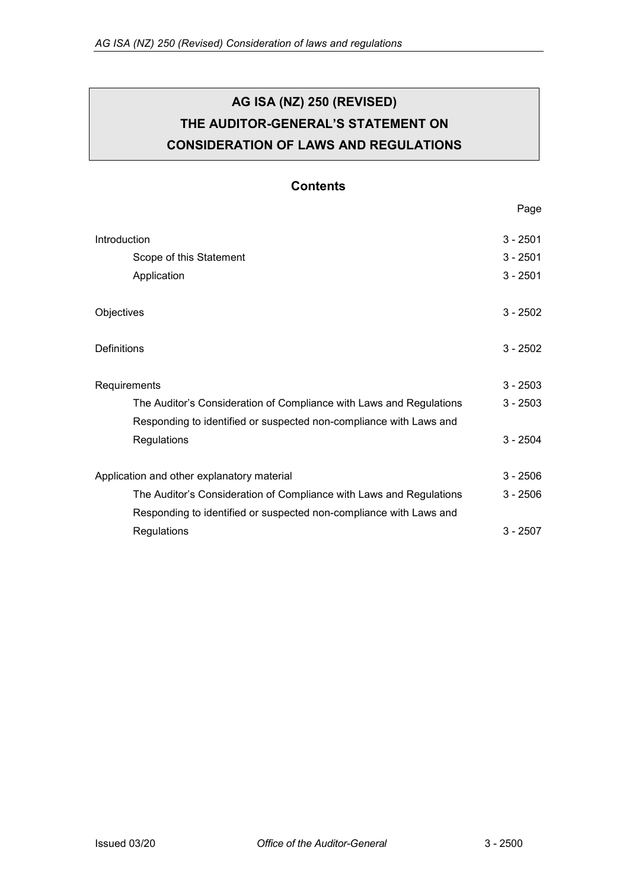# **AG ISA (NZ) 250 (REVISED) THE AUDITOR-GENERAL'S STATEMENT ON CONSIDERATION OF LAWS AND REGULATIONS**

# **Contents**

Page

| Introduction                                                        | $3 - 2501$ |
|---------------------------------------------------------------------|------------|
| Scope of this Statement                                             | $3 - 2501$ |
| Application                                                         | $3 - 2501$ |
| Objectives                                                          | $3 - 2502$ |
| Definitions                                                         | $3 - 2502$ |
| Requirements                                                        | $3 - 2503$ |
| The Auditor's Consideration of Compliance with Laws and Regulations | $3 - 2503$ |
| Responding to identified or suspected non-compliance with Laws and  |            |
| Regulations                                                         | $3 - 2504$ |
| Application and other explanatory material                          | $3 - 2506$ |
| The Auditor's Consideration of Compliance with Laws and Regulations | $3 - 2506$ |
| Responding to identified or suspected non-compliance with Laws and  |            |
| Regulations                                                         | $3 - 2507$ |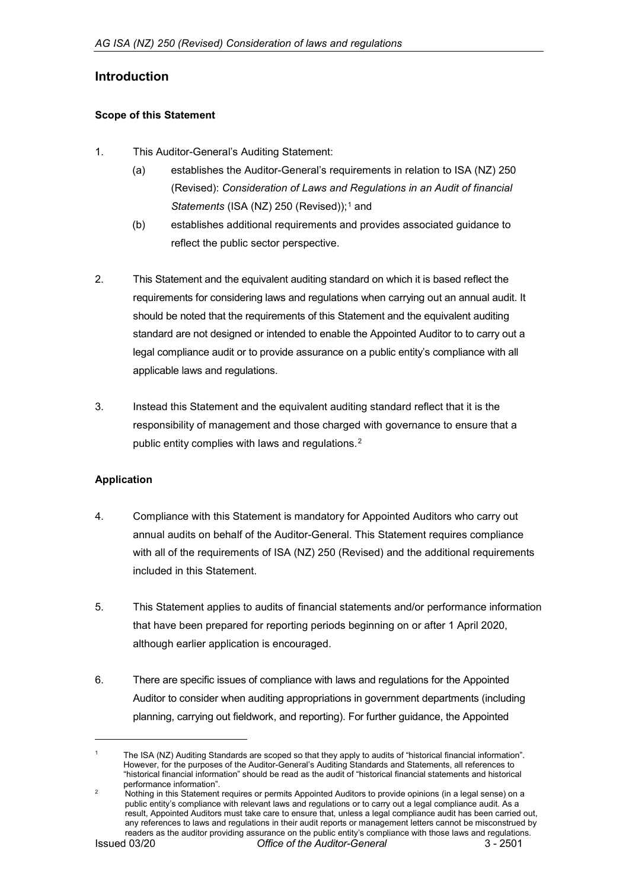# <span id="page-1-0"></span>**Introduction**

#### <span id="page-1-1"></span>**Scope of this Statement**

- 1. This Auditor-General's Auditing Statement:
	- (a) establishes the Auditor-General's requirements in relation to ISA (NZ) 250 (Revised): *Consideration of Laws and Regulations in an Audit of financial Statements* (ISA (NZ) 250 (Revised));<sup>[1](#page-1-3)</sup> and
	- (b) establishes additional requirements and provides associated guidance to reflect the public sector perspective.
- 2. This Statement and the equivalent auditing standard on which it is based reflect the requirements for considering laws and regulations when carrying out an annual audit. It should be noted that the requirements of this Statement and the equivalent auditing standard are not designed or intended to enable the Appointed Auditor to to carry out a legal compliance audit or to provide assurance on a public entity's compliance with all applicable laws and regulations.
- 3. Instead this Statement and the equivalent auditing standard reflect that it is the responsibility of management and those charged with governance to ensure that a public entity complies with laws and regulations.[2](#page-1-4)

#### <span id="page-1-2"></span>**Application**

- 4. Compliance with this Statement is mandatory for Appointed Auditors who carry out annual audits on behalf of the Auditor-General. This Statement requires compliance with all of the requirements of ISA (NZ) 250 (Revised) and the additional requirements included in this Statement.
- 5. This Statement applies to audits of financial statements and/or performance information that have been prepared for reporting periods beginning on or after 1 April 2020, although earlier application is encouraged.
- 6. There are specific issues of compliance with laws and regulations for the Appointed Auditor to consider when auditing appropriations in government departments (including planning, carrying out fieldwork, and reporting). For further guidance, the Appointed

-

<span id="page-1-3"></span>The ISA (NZ) Auditing Standards are scoped so that they apply to audits of "historical financial information". However, for the purposes of the Auditor-General's Auditing Standards and Statements, all references to "historical financial information" should be read as the audit of "historical financial statements and historical performance information".

<span id="page-1-4"></span>Issued 03/20 *Office of the Auditor-General* 3 - 2501 2 Ponomiance information :<br>Nothing in this Statement requires or permits Appointed Auditors to provide opinions (in a legal sense) on a public entity's compliance with relevant laws and regulations or to carry out a legal compliance audit. As a result, Appointed Auditors must take care to ensure that, unless a legal compliance audit has been carried out, any references to laws and regulations in their audit reports or management letters cannot be misconstrued by readers as the auditor providing assurance on the public entity's compliance with those laws and regulations.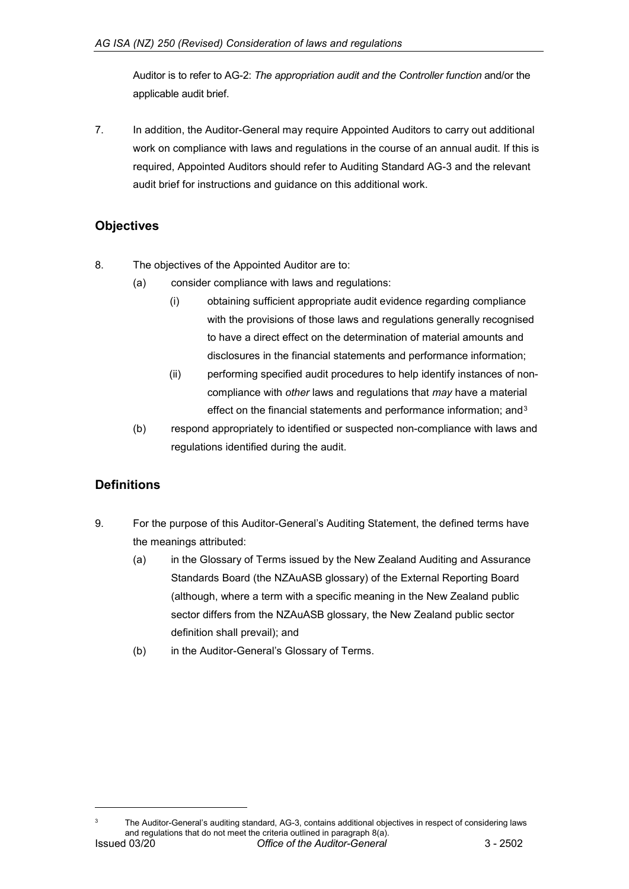Auditor is to refer to AG-2: *The appropriation audit and the Controller function* and/or the applicable audit brief.

7. In addition, the Auditor-General may require Appointed Auditors to carry out additional work on compliance with laws and regulations in the course of an annual audit. If this is required, Appointed Auditors should refer to Auditing Standard AG-3 and the relevant audit brief for instructions and guidance on this additional work.

# <span id="page-2-0"></span>**Objectives**

- 8. The objectives of the Appointed Auditor are to:
	- (a) consider compliance with laws and regulations:
		- (i) obtaining sufficient appropriate audit evidence regarding compliance with the provisions of those laws and regulations generally recognised to have a direct effect on the determination of material amounts and disclosures in the financial statements and performance information;
		- (ii) performing specified audit procedures to help identify instances of noncompliance with *other* laws and regulations that *may* have a material effect on the financial statements and performance information; and<sup>[3](#page-2-2)</sup>
	- (b) respond appropriately to identified or suspected non-compliance with laws and regulations identified during the audit.

# <span id="page-2-1"></span>**Definitions**

-

- 9. For the purpose of this Auditor-General's Auditing Statement, the defined terms have the meanings attributed:
	- (a) in the Glossary of Terms issued by the New Zealand Auditing and Assurance Standards Board (the NZAuASB glossary) of the External Reporting Board (although, where a term with a specific meaning in the New Zealand public sector differs from the NZAuASB glossary, the New Zealand public sector definition shall prevail); and
	- (b) in the Auditor-General's Glossary of Terms.

<span id="page-2-2"></span>Issued 03/20 *Office of the Auditor-General* 3 - 2502 The Auditor-General's auditing standard, AG-3, contains additional objectives in respect of considering laws and regulations that do not meet the criteria outlined in paragraph 8(a).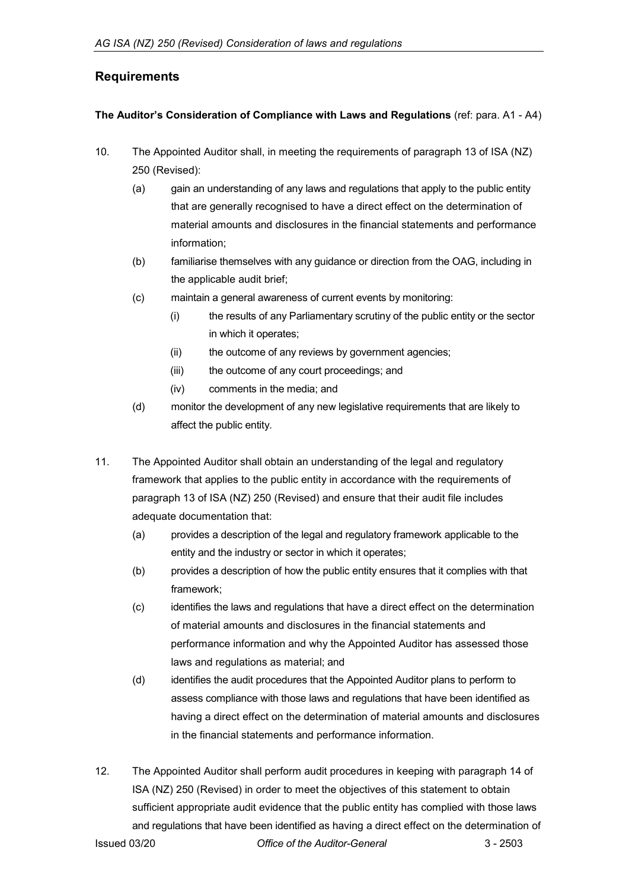# <span id="page-3-0"></span>**Requirements**

#### <span id="page-3-1"></span>**The Auditor's Consideration of Compliance with Laws and Regulations** (ref: para. A1 - A4)

- 10. The Appointed Auditor shall, in meeting the requirements of paragraph 13 of ISA (NZ) 250 (Revised):
	- (a) gain an understanding of any laws and regulations that apply to the public entity that are generally recognised to have a direct effect on the determination of material amounts and disclosures in the financial statements and performance information;
	- (b) familiarise themselves with any guidance or direction from the OAG, including in the applicable audit brief;
	- (c) maintain a general awareness of current events by monitoring:
		- (i) the results of any Parliamentary scrutiny of the public entity or the sector in which it operates;
		- (ii) the outcome of any reviews by government agencies;
		- (iii) the outcome of any court proceedings; and
		- (iv) comments in the media; and
	- (d) monitor the development of any new legislative requirements that are likely to affect the public entity.
- 11. The Appointed Auditor shall obtain an understanding of the legal and regulatory framework that applies to the public entity in accordance with the requirements of paragraph 13 of ISA (NZ) 250 (Revised) and ensure that their audit file includes adequate documentation that:
	- (a) provides a description of the legal and regulatory framework applicable to the entity and the industry or sector in which it operates;
	- (b) provides a description of how the public entity ensures that it complies with that framework;
	- (c) identifies the laws and regulations that have a direct effect on the determination of material amounts and disclosures in the financial statements and performance information and why the Appointed Auditor has assessed those laws and regulations as material; and
	- (d) identifies the audit procedures that the Appointed Auditor plans to perform to assess compliance with those laws and regulations that have been identified as having a direct effect on the determination of material amounts and disclosures in the financial statements and performance information.
- Issued 03/20 *Office of the Auditor-General* 3 2503 12. The Appointed Auditor shall perform audit procedures in keeping with paragraph 14 of ISA (NZ) 250 (Revised) in order to meet the objectives of this statement to obtain sufficient appropriate audit evidence that the public entity has complied with those laws and regulations that have been identified as having a direct effect on the determination of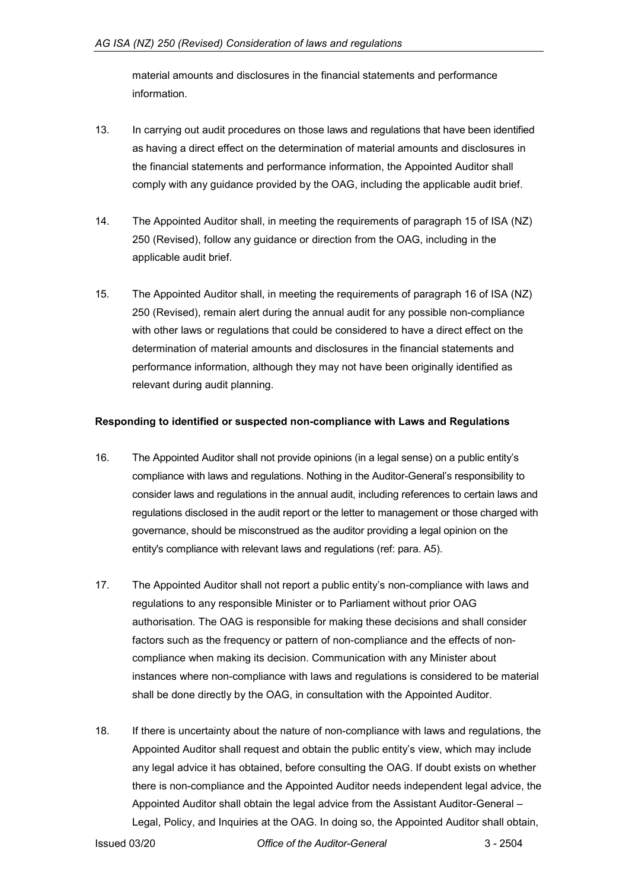material amounts and disclosures in the financial statements and performance information.

- 13. In carrying out audit procedures on those laws and regulations that have been identified as having a direct effect on the determination of material amounts and disclosures in the financial statements and performance information, the Appointed Auditor shall comply with any guidance provided by the OAG, including the applicable audit brief.
- 14. The Appointed Auditor shall, in meeting the requirements of paragraph 15 of ISA (NZ) 250 (Revised), follow any guidance or direction from the OAG, including in the applicable audit brief.
- 15. The Appointed Auditor shall, in meeting the requirements of paragraph 16 of ISA (NZ) 250 (Revised), remain alert during the annual audit for any possible non-compliance with other laws or regulations that could be considered to have a direct effect on the determination of material amounts and disclosures in the financial statements and performance information, although they may not have been originally identified as relevant during audit planning.

#### <span id="page-4-0"></span>**Responding to identified or suspected non-compliance with Laws and Regulations**

- 16. The Appointed Auditor shall not provide opinions (in a legal sense) on a public entity's compliance with laws and regulations. Nothing in the Auditor-General's responsibility to consider laws and regulations in the annual audit, including references to certain laws and regulations disclosed in the audit report or the letter to management or those charged with governance, should be misconstrued as the auditor providing a legal opinion on the entity's compliance with relevant laws and regulations (ref: para. A5).
- 17. The Appointed Auditor shall not report a public entity's non-compliance with laws and regulations to any responsible Minister or to Parliament without prior OAG authorisation. The OAG is responsible for making these decisions and shall consider factors such as the frequency or pattern of non-compliance and the effects of noncompliance when making its decision. Communication with any Minister about instances where non-compliance with laws and regulations is considered to be material shall be done directly by the OAG, in consultation with the Appointed Auditor.
- 18. If there is uncertainty about the nature of non-compliance with laws and regulations, the Appointed Auditor shall request and obtain the public entity's view, which may include any legal advice it has obtained, before consulting the OAG. If doubt exists on whether there is non-compliance and the Appointed Auditor needs independent legal advice, the Appointed Auditor shall obtain the legal advice from the Assistant Auditor-General – Legal, Policy, and Inquiries at the OAG. In doing so, the Appointed Auditor shall obtain,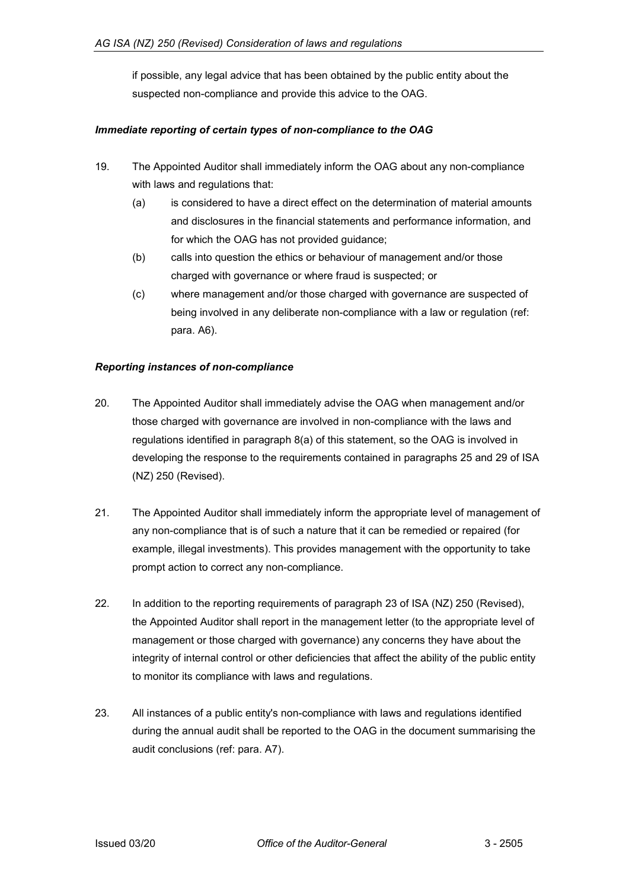if possible, any legal advice that has been obtained by the public entity about the suspected non-compliance and provide this advice to the OAG.

#### *Immediate reporting of certain types of non-compliance to the OAG*

- 19. The Appointed Auditor shall immediately inform the OAG about any non-compliance with laws and regulations that:
	- (a) is considered to have a direct effect on the determination of material amounts and disclosures in the financial statements and performance information, and for which the OAG has not provided guidance;
	- (b) calls into question the ethics or behaviour of management and/or those charged with governance or where fraud is suspected; or
	- (c) where management and/or those charged with governance are suspected of being involved in any deliberate non-compliance with a law or regulation (ref: para. A6).

#### *Reporting instances of non-compliance*

- 20. The Appointed Auditor shall immediately advise the OAG when management and/or those charged with governance are involved in non-compliance with the laws and regulations identified in paragraph 8(a) of this statement, so the OAG is involved in developing the response to the requirements contained in paragraphs 25 and 29 of ISA (NZ) 250 (Revised).
- 21. The Appointed Auditor shall immediately inform the appropriate level of management of any non-compliance that is of such a nature that it can be remedied or repaired (for example, illegal investments). This provides management with the opportunity to take prompt action to correct any non-compliance.
- 22. In addition to the reporting requirements of paragraph 23 of ISA (NZ) 250 (Revised), the Appointed Auditor shall report in the management letter (to the appropriate level of management or those charged with governance) any concerns they have about the integrity of internal control or other deficiencies that affect the ability of the public entity to monitor its compliance with laws and regulations.
- 23. All instances of a public entity's non-compliance with laws and regulations identified during the annual audit shall be reported to the OAG in the document summarising the audit conclusions (ref: para. A7).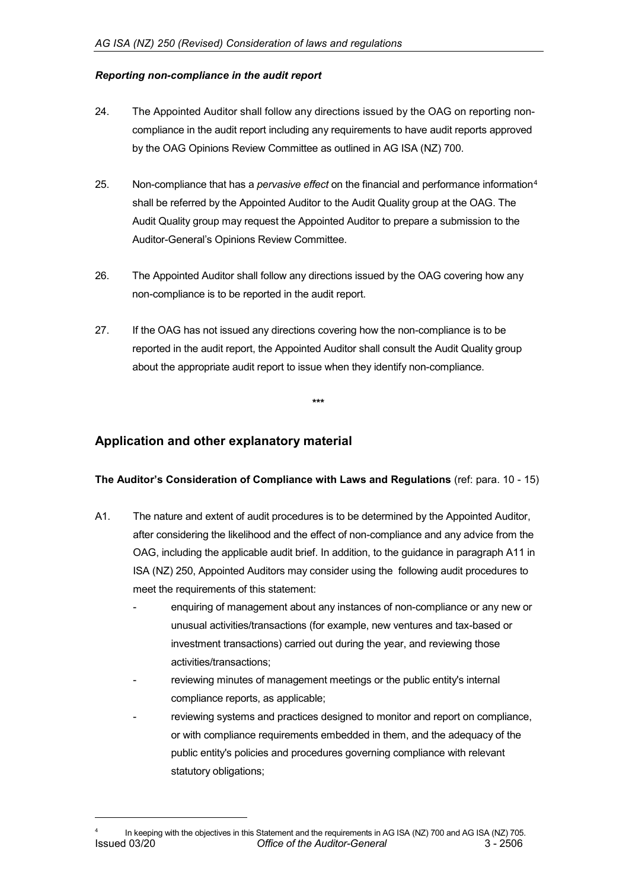#### *Reporting non-compliance in the audit report*

- 24. The Appointed Auditor shall follow any directions issued by the OAG on reporting noncompliance in the audit report including any requirements to have audit reports approved by the OAG Opinions Review Committee as outlined in AG ISA (NZ) 700.
- 25. Non-compliance that has a *pervasive effect* on the financial and performance information[4](#page-6-2) shall be referred by the Appointed Auditor to the Audit Quality group at the OAG. The Audit Quality group may request the Appointed Auditor to prepare a submission to the Auditor-General's Opinions Review Committee.
- 26. The Appointed Auditor shall follow any directions issued by the OAG covering how any non-compliance is to be reported in the audit report.
- 27. If the OAG has not issued any directions covering how the non-compliance is to be reported in the audit report, the Appointed Auditor shall consult the Audit Quality group about the appropriate audit report to issue when they identify non-compliance.

### <span id="page-6-0"></span>**Application and other explanatory material**

<span id="page-6-2"></span>-

#### <span id="page-6-1"></span>**The Auditor's Consideration of Compliance with Laws and Regulations** (ref: para. 10 - 15)

**\*\*\***

- A1. The nature and extent of audit procedures is to be determined by the Appointed Auditor, after considering the likelihood and the effect of non-compliance and any advice from the OAG, including the applicable audit brief. In addition, to the guidance in paragraph A11 in ISA (NZ) 250, Appointed Auditors may consider using the following audit procedures to meet the requirements of this statement:
	- enquiring of management about any instances of non-compliance or any new or unusual activities/transactions (for example, new ventures and tax-based or investment transactions) carried out during the year, and reviewing those activities/transactions;
	- reviewing minutes of management meetings or the public entity's internal compliance reports, as applicable;
	- reviewing systems and practices designed to monitor and report on compliance, or with compliance requirements embedded in them, and the adequacy of the public entity's policies and procedures governing compliance with relevant statutory obligations;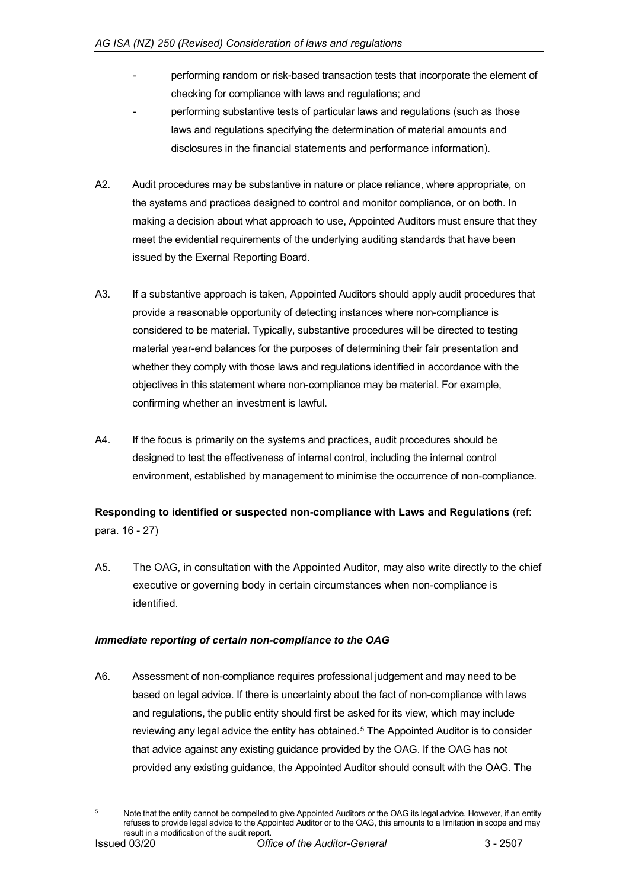- performing random or risk-based transaction tests that incorporate the element of checking for compliance with laws and regulations; and
- performing substantive tests of particular laws and regulations (such as those laws and regulations specifying the determination of material amounts and disclosures in the financial statements and performance information).
- A2. Audit procedures may be substantive in nature or place reliance, where appropriate, on the systems and practices designed to control and monitor compliance, or on both. In making a decision about what approach to use, Appointed Auditors must ensure that they meet the evidential requirements of the underlying auditing standards that have been issued by the Exernal Reporting Board.
- A3. If a substantive approach is taken, Appointed Auditors should apply audit procedures that provide a reasonable opportunity of detecting instances where non-compliance is considered to be material. Typically, substantive procedures will be directed to testing material year-end balances for the purposes of determining their fair presentation and whether they comply with those laws and regulations identified in accordance with the objectives in this statement where non-compliance may be material. For example, confirming whether an investment is lawful.
- A4. If the focus is primarily on the systems and practices, audit procedures should be designed to test the effectiveness of internal control, including the internal control environment, established by management to minimise the occurrence of non-compliance.

# <span id="page-7-0"></span>**Responding to identified or suspected non-compliance with Laws and Regulations** (ref: para. 16 - 27)

A5. The OAG, in consultation with the Appointed Auditor, may also write directly to the chief executive or governing body in certain circumstances when non-compliance is identified.

#### *Immediate reporting of certain non-compliance to the OAG*

A6. Assessment of non-compliance requires professional judgement and may need to be based on legal advice. If there is uncertainty about the fact of non-compliance with laws and regulations, the public entity should first be asked for its view, which may include reviewing any legal advice the entity has obtained.<sup>[5](#page-7-1)</sup> The Appointed Auditor is to consider that advice against any existing guidance provided by the OAG. If the OAG has not provided any existing guidance, the Appointed Auditor should consult with the OAG. The

-

<span id="page-7-1"></span>Issued 03/20 *Office of the Auditor-General* 3 - 2507 Note that the entity cannot be compelled to give Appointed Auditors or the OAG its legal advice. However, if an entity refuses to provide legal advice to the Appointed Auditor or to the OAG, this amounts to a limitation in scope and may result in a modification of the audit report.